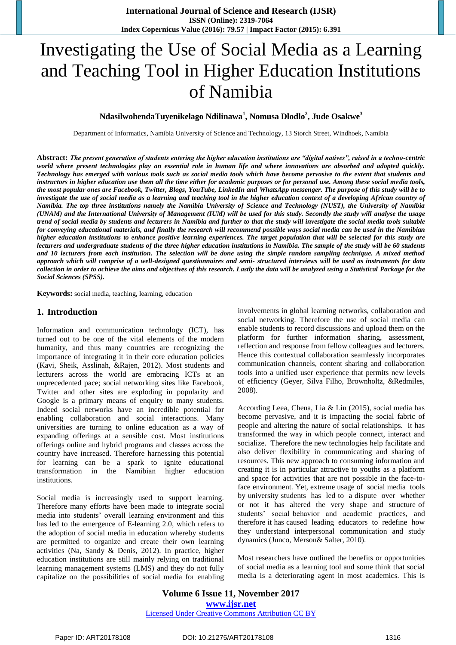# Investigating the Use of Social Media as a Learning and Teaching Tool in Higher Education Institutions of Namibia

**NdasilwohendaTuyenikelago Ndilinawa<sup>1</sup> , Nomusa Dlodlo<sup>2</sup> , Jude Osakwe<sup>3</sup>**

Department of Informatics, Namibia University of Science and Technology, 13 Storch Street, Windhoek, Namibia

**Abstract:** *The present generation of students entering the higher education institutions are "digital natives", raised in a techno-centric world where present technologies play an essential role in human life and where innovations are absorbed and adopted quickly. Technology has emerged with various tools such as social media tools which have become pervasive to the extent that students and instructors in higher education use them all the time either for academic purposes or for personal use. Among these social media tools, the most popular ones are Facebook, Twitter, Blogs, YouTube, LinkedIn and WhatsApp messenger. The purpose of this study will be to*  investigate the use of social media as a learning and teaching tool in the higher education context of a developing African country of *Namibia. The top three institutions namely the Namibia University of Science and Technology (NUST), the University of Namibia (UNAM) and the International University of Management (IUM) will be used for this study. Secondly the study will analyse the usage trend of social media by students and lecturers in Namibia and further to that the study will investigate the social media tools suitable for conveying educational materials, and finally the research will recommend possible ways social media can be used in the Namibian higher education institutions to enhance positive learning experiences. The target population that will be selected for this study are lecturers and undergraduate students of the three higher education institutions in Namibia. The sample of the study will be 60 students and 10 lecturers from each institution. The selection will be done using the simple random sampling technique. A mixed method approach which will comprise of a well-designed questionnaires and semi- structured interviews will be used as instruments for data collection in order to achieve the aims and objectives of this research. Lastly the data will be analyzed using a Statistical Package for the Social Sciences (SPSS).*

**Keywords:** social media, teaching, learning, education

#### **1. Introduction**

Information and communication technology (ICT), has turned out to be one of the vital elements of the modern humanity, and thus many countries are recognizing the importance of integrating it in their core education policies (Kavi, Sheik, Asslinah, &Rajen, 2012). Most students and lecturers across the world are embracing ICTs at an unprecedented pace; social networking sites like Facebook, Twitter and other sites are exploding in popularity and Google is a primary means of enquiry to many students. Indeed social networks have an incredible potential for enabling collaboration and social interactions. Many universities are turning to online education as a way of expanding offerings at a sensible cost. Most institutions offerings online and hybrid programs and classes across the country have increased. Therefore harnessing this potential for learning can be a spark to ignite educational transformation in the Namibian higher education institutions.

Social media is increasingly used to support learning. Therefore many efforts have been made to integrate social media into students" overall learning environment and this has led to the emergence of E-learning 2.0, which refers to the adoption of social media in education whereby students are permitted to organize and create their own learning activities (Na, Sandy & Denis, 2012). In practice, higher education institutions are still mainly relying on traditional learning management systems (LMS) and they do not fully capitalize on the possibilities of social media for enabling involvements in global learning networks, collaboration and social networking. Therefore the use of social media can enable students to record discussions and upload them on the platform for further information sharing, assessment, reflection and response from fellow colleagues and lecturers. Hence this contextual collaboration seamlessly incorporates communication channels, content sharing and collaboration tools into a unified user experience that permits new levels of efficiency (Geyer, Silva Filho, Brownholtz, &Redmiles, 2008).

According Leea, Chena, Lia & Lin (2015), social media has become pervasive, and it is impacting the social fabric of people and altering the nature of social relationships. It has transformed the way in which people connect, interact and socialize. Therefore the new technologies help facilitate and also deliver flexibility in communicating and sharing of resources. This new approach to consuming information and creating it is in particular attractive to youths as a platform and space for activities that are not possible in the face-toface environment. Yet, extreme usage of social media tools by university students has led to a dispute over whether or not it has altered the very shape and structure of students" social behavior and academic practices, and therefore it has caused leading educators to redefine how they understand interpersonal communication and study dynamics (Junco, Merson& Salter, 2010).

Most researchers have outlined the benefits or opportunities of social media as a learning tool and some think that social media is a deteriorating agent in most academics. This is

**Volume 6 Issue 11, November 2017 <www.ijsr.net>** [Licensed Under Creative Commons Attribution CC BY](http://creativecommons.org/licenses/by/4.0/)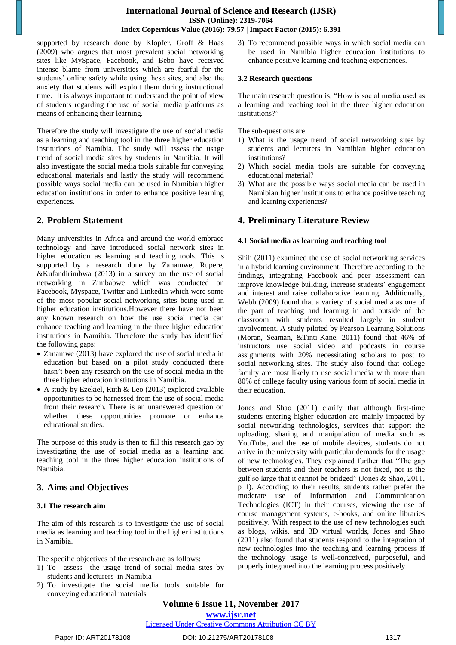supported by research done by Klopfer, Groff & Haas (2009) who argues that most prevalent social networking sites like MySpace, Facebook, and Bebo have received intense blame from universities which are fearful for the students' online safety while using these sites, and also the anxiety that students will exploit them during instructional time. It is always important to understand the point of view of students regarding the use of social media platforms as means of enhancing their learning.

Therefore the study will investigate the use of social media as a learning and teaching tool in the three higher education institutions of Namibia. The study will assess the usage trend of social media sites by students in Namibia. It will also investigate the social media tools suitable for conveying educational materials and lastly the study will recommend possible ways social media can be used in Namibian higher education institutions in order to enhance positive learning experiences.

## **2. Problem Statement**

Many universities in Africa and around the world embrace technology and have introduced social network sites in higher education as learning and teaching tools. This is supported by a research done by Zanamwe, Rupere, &Kufandirimbwa (2013) in a survey on the use of social networking in Zimbabwe which was conducted on Facebook, Myspace, Twitter and LinkedIn which were some of the most popular social networking sites being used in higher education institutions.However there have not been any known research on how the use social media can enhance teaching and learning in the three higher education institutions in Namibia. Therefore the study has identified the following gaps:

- Zanamwe (2013) have explored the use of social media in education but based on a pilot study conducted there hasn"t been any research on the use of social media in the three higher education institutions in Namibia.
- A study by Ezekiel, Ruth & Leo (2013) explored available opportunities to be harnessed from the use of social media from their research. There is an unanswered question on whether these opportunities promote or enhance educational studies.

The purpose of this study is then to fill this research gap by investigating the use of social media as a learning and teaching tool in the three higher education institutions of Namibia.

## **3. Aims and Objectives**

## **3.1 The research aim**

The aim of this research is to investigate the use of social media as learning and teaching tool in the higher institutions in Namibia.

The specific objectives of the research are as follows:

- 1) To assess the usage trend of social media sites by students and lecturers in Namibia
- 2) To investigate the social media tools suitable for conveying educational materials

3) To recommend possible ways in which social media can be used in Namibia higher education institutions to enhance positive learning and teaching experiences.

#### **3.2 Research questions**

The main research question is, "How is social media used as a learning and teaching tool in the three higher education institutions?"

The sub-questions are:

- 1) What is the usage trend of social networking sites by students and lecturers in Namibian higher education institutions?
- 2) Which social media tools are suitable for conveying educational material?
- 3) What are the possible ways social media can be used in Namibian higher institutions to enhance positive teaching and learning experiences?

## **4. Preliminary Literature Review**

#### **4.1 Social media as learning and teaching tool**

Shih (2011) examined the use of social networking services in a hybrid learning environment. Therefore according to the findings, integrating Facebook and peer assessment can improve knowledge building, increase students' engagement and interest and raise collaborative learning. Additionally, Webb (2009) found that a variety of social media as one of the part of teaching and learning in and outside of the classroom with students resulted largely in student involvement. A study piloted by Pearson Learning Solutions (Moran, Seaman, &Tinti-Kane, 2011) found that 46% of instructors use social video and podcasts in course assignments with 20% necessitating scholars to post to social networking sites. The study also found that college faculty are most likely to use social media with more than 80% of college faculty using various form of social media in their education.

Jones and Shao (2011) clarify that although first-time students entering higher education are mainly impacted by social networking technologies, services that support the uploading, sharing and manipulation of media such as YouTube, and the use of mobile devices, students do not arrive in the university with particular demands for the usage of new technologies. They explained further that "The gap between students and their teachers is not fixed, nor is the gulf so large that it cannot be bridged" (Jones & Shao, 2011, p 1). According to their results, students rather prefer the moderate use of Information and Communication Technologies (ICT) in their courses, viewing the use of course management systems, e-books, and online libraries positively. With respect to the use of new technologies such as blogs, wikis, and 3D virtual worlds, Jones and Shao (2011) also found that students respond to the integration of new technologies into the teaching and learning process if the technology usage is well-conceived, purposeful, and properly integrated into the learning process positively.

**Volume 6 Issue 11, November 2017**

**<www.ijsr.net>**

## [Licensed Under Creative Commons Attribution CC BY](http://creativecommons.org/licenses/by/4.0/)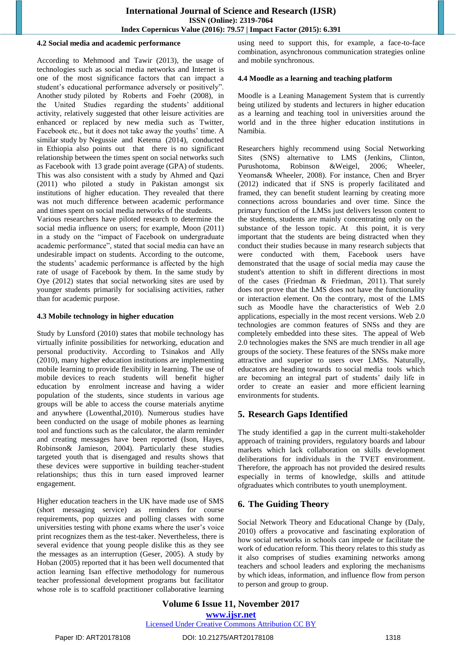#### **4.2 Social media and academic performance**

According to Mehmood and Tawir (2013), the usage of technologies such as social media networks and Internet is one of the most significance factors that can impact a student"s educational performance adversely or positively". Another study piloted by Roberts and Foehr (2008), in the United Studies regarding the students' additional activity, relatively suggested that other leisure activities are enhanced or replaced by new media such as Twitter, Facebook etc., but it does not take away the youths' time. A similar study by Negussie and Ketema (2014), conducted in Ethiopia also points out that there is no significant relationship between the times spent on social networks such as Facebook with 13 grade point average (GPA) of students. This was also consistent with a study by Ahmed and Qazi (2011) who piloted a study in Pakistan amongst six institutions of higher education. They revealed that there was not much difference between academic performance and times spent on social media networks of the students.

Various researchers have piloted research to determine the social media influence on users; for example, Moon (2011) in a study on the "impact of Facebook on undergraduate academic performance", stated that social media can have an undesirable impact on students. According to the outcome, the students' academic performance is affected by the high rate of usage of Facebook by them. In the same study by Oye (2012) states that social networking sites are used by younger students primarily for socialising activities, rather than for academic purpose.

#### **4.3 Mobile technology in higher education**

Study by Lunsford (2010) states that mobile technology has virtually infinite possibilities for networking, education and personal productivity. According to Tsinakos and Ally (2010), many higher education institutions are implementing mobile learning to provide flexibility in learning. The use of mobile devices to reach students will benefit higher education by enrolment increase and having a wider population of the students, since students in various age groups will be able to access the course materials anytime and anywhere (Lowenthal,2010). Numerous studies have been conducted on the usage of mobile phones as learning tool and functions such as the calculator, the alarm reminder and creating messages have been reported (Ison, Hayes, Robinson& Jamieson, 2004). Particularly these studies targeted youth that is disengaged and results shows that these devices were supportive in building teacher-student relationships; thus this in turn eased improved learner engagement.

Higher education teachers in the UK have made use of SMS (short messaging service) as reminders for course requirements, pop quizzes and polling classes with some universities testing with phone exams where the user"s voice print recognizes them as the test-taker. Nevertheless, there is several evidence that young people dislike this as they see the messages as an interruption (Geser, 2005). A study by Hoban (2005) reported that it has been well documented that action learning Isan effective methodology for numerous teacher professional development programs but facilitator whose role is to scaffold practitioner collaborative learning

using need to support this, for example, a face-to-face combination, asynchronous communication strategies online and mobile synchronous.

#### **4.4 Moodle as a learning and teaching platform**

Moodle is a Leaning Management System that is currently being utilized by students and lecturers in higher education as a learning and teaching tool in universities around the world and in the three higher education institutions in Namibia.

Researchers highly recommend using Social Networking Sites (SNS) alternative to LMS (Jenkins, Clinton, Purushotoma, Robinson &Weigel, 2006; Wheeler, Yeomans& Wheeler, 2008). For instance, Chen and Bryer (2012) indicated that if SNS is properly facilitated and framed, they can benefit student learning by creating more connections across boundaries and over time. Since the primary function of the LMSs just delivers lesson content to the students, students are mainly concentrating only on the substance of the lesson topic. At this point, it is very important that the students are being distracted when they conduct their studies because in many research subjects that were conducted with them, Facebook users have demonstrated that the usage of social media may cause the student's attention to shift in different directions in most of the cases (Friedman & Friedman, 2011). That surely does not prove that the LMS does not have the functionality or interaction element. On the contrary, most of the LMS such as Moodle have the characteristics of Web 2.0 applications, especially in the most recent versions. Web 2.0 technologies are common features of SNSs and they are completely embedded into these sites. The appeal of Web 2.0 technologies makes the SNS are much trendier in all age groups of the society. These features of the SNSs make more attractive and superior to users over LMSs. Naturally, educators are heading towards to social media tools which are becoming an integral part of students' daily life in order to create an easier and more efficient learning environments for students.

# **5. Research Gaps Identified**

The study identified a gap in the current multi-stakeholder approach of training providers, regulatory boards and labour markets which lack collaboration on skills development deliberations for individuals in the TVET environment. Therefore, the approach has not provided the desired results especially in terms of knowledge, skills and attitude ofgraduates which contributes to youth unemployment.

## **6. The Guiding Theory**

Social Network Theory and Educational Change by (Daly, 2010) offers a provocative and fascinating exploration of how social networks in schools can impede or facilitate the work of education reform. This theory relates to this study as it also comprises of studies examining networks among teachers and school leaders and exploring the mechanisms by which ideas, information, and influence flow from person to person and group to group.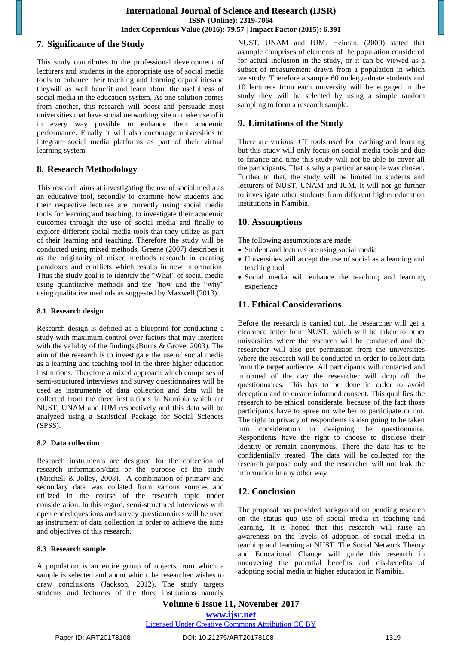## **7. Significance of the Study**

This study contributes to the professional development of lecturers and students in the appropriate use of social media tools to enhance their teaching and learning capabilitiesand theywill as well benefit and learn about the usefulness of social media in the education system. As one solution comes from another, this research will boost and persuade most universities that have social networking site to make use of it in every way possible to enhance their academic performance. Finally it will also encourage universities to integrate social media platforms as part of their virtual learning system.

## **8. Research Methodology**

This research aims at investigating the use of social media as an educative tool, secondly to examine how students and their respective lectures are currently using social media tools for learning and teaching, to investigate their academic outcomes through the use of social media and finally to explore different social media tools that they utilize as part of their learning and teaching. Therefore the study will be conducted using mixed methods. Greene (2007) describes it as the originality of mixed methods research in creating paradoxes and conflicts which results in new information. Thus the study goal is to identify the "What" of social media using quantitative methods and the "how and the "why" using qualitative methods as suggested by Maxwell (2013).

## **8.1 Research design**

Research design is defined as a blueprint for conducting a study with maximum control over factors that may interfere with the validity of the findings (Burns & Grove, 2003). The aim of the research is to investigate the use of social media as a learning and teaching tool in the three higher education institutions. Therefore a mixed approach which comprises of semi-structured interviews and survey questionnaires will be used as instruments of data collection and data will be collected from the three institutions in Namibia which are NUST, UNAM and IUM respectively and this data will be analyzed using a Statistical Package for Social Sciences (SPSS).

## **8.2 Data collection**

Research instruments are designed for the collection of research information/data or the purpose of the study (Mitchell & Jolley, 2008). A combination of primary and secondary data was collated from various sources and utilized in the course of the research topic under consideration. In this regard, semi-structured interviews with open ended questions and survey questionnaires will be used as instrument of data collection in order to achieve the aims and objectives of this research.

## **8.3 Research sample**

A population is an entire group of objects from which a sample is selected and about which the researcher wishes to draw conclusions (Jackson, 2012). The study targets students and lecturers of the three institutions namely NUST, UNAM and IUM. Heiman, (2009) stated that asample comprises of elements of the population considered for actual inclusion in the study, or it can be viewed as a subset of measurement drawn from a population in which we study. Therefore a sample 60 undergraduate students and 10 lecturers from each university will be engaged in the study they will be selected by using a simple random sampling to form a research sample.

## **9. Limitations of the Study**

There are various ICT tools used for teaching and learning but this study will only focus on social media tools and due to finance and time this study will not be able to cover all the participants. That is why a particular sample was chosen. Further to that, the study will be limited to students and lecturers of NUST, UNAM and IUM. It will not go further to investigate other students from different higher education institutions in Namibia.

## **10. Assumptions**

The following assumptions are made:

- Student and lectures are using social media
- Universities will accept the use of social as a learning and teaching tool
- Social media will enhance the teaching and learning experience

# **11. Ethical Considerations**

Before the research is carried out, the researcher will get a clearance letter from NUST, which will be taken to other universities where the research will be conducted and the researcher will also get permission from the universities where the research will be conducted in order to collect data from the target audience. All participants will contacted and informed of the day the researcher will drop off the questionnaires. This has to be done in order to avoid deception and to ensure informed consent. This qualifies the research to be ethical considerate, because of the fact those participants have to agree on whether to participate or not. The right to privacy of respondents is also going to be taken into consideration in designing the questionnaire. Respondents have the right to choose to disclose their identity or remain anonymous. There the data has to be confidentially treated. The data will be collected for the research purpose only and the researcher will not leak the information in any other way

# **12. Conclusion**

The proposal has provided background on pending research on the status quo use of social media in teaching and learning. It is hoped that this research will raise an awareness on the levels of adoption of social media in teaching and learning at NUST. The Social Network Theory and Educational Change will guide this research in uncovering the potential benefits and dis-benefits of adopting social media in higher education in Namibia.

**Volume 6 Issue 11, November 2017 <www.ijsr.net>** [Licensed Under Creative Commons Attribution CC BY](http://creativecommons.org/licenses/by/4.0/)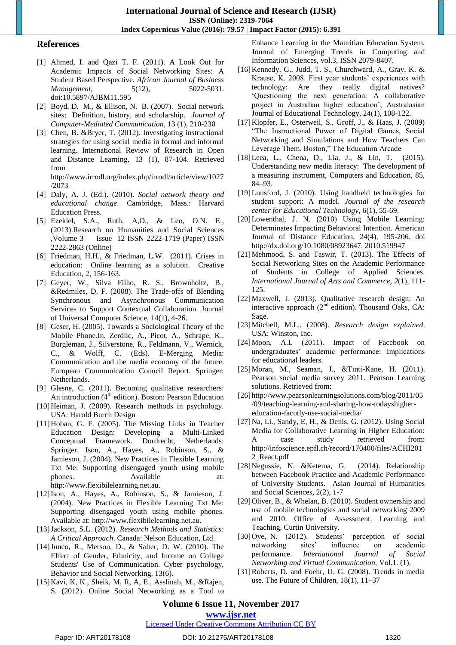#### **References**

- [1] Ahmed, I. and Qazi T. F. (2011). A Look Out for Academic Impacts of Social Networking Sites: A Student Based Perspective. *African Journal of Business Management*, 5(12), 5022-5031. doi:10.5897/AJBM11.595
- [2] Boyd, D. M., & Ellison, N. B. (2007). Social network sites: Definition, history, and scholarship. *Journal of Computer-Mediated Communication*, 13 (1), 210-230
- [3] Chen, B. &Bryer, T. (2012). Investigating instructional strategies for using social media in formal and informal learning. International Review of Research in Open and Distance Learning, 13 (1), 87-104. Retrieved from

http://www.irrodl.org/index.php/irrodl/article/view/1027 /2073

- [4] Daly, A. J. (Ed.). (2010). *Social network theory and educational change*. Cambridge, Mass.: Harvard Education Press.
- [5] Ezekiel, S.A., Ruth, A,O., & Leo, O.N. E., (2013).Research on Humanities and Social Sciences ,Volume 3 Issue 12 ISSN 2222-1719 (Paper) ISSN 2222-2863 (Online)
- [6] Friedman, H.H., & Friedman, L.W. (2011). Crises in education: Online learning as a solution. Creative Education, 2, 156-163.
- [7] Geyer, W., Silva Filho, R. S., Brownholtz, B., &Redmiles, D. F. (2008). The Trade-offs of Blending Synchronous and Asynchronous Communication Services to Support Contextual Collaboration. Journal of Universal Computer Science, 14(1), 4-26.
- [8] Geser, H. (2005). Towards a Sociological Theory of the Mobile Phone.In. Zerdiic, A., Picot, A., Schrape, K., Burgleman, J., Silverstone, R., Feldmann, V., Wernick, C., & Wolff, C. (Eds). E-Merging Media: Communication and the media economy of the future. European Communication Council Report. Springer: Netherlands.
- [9] Glesne, C. (2011). Becoming qualitative researchers: An introduction  $(4<sup>th</sup>$  edition). Boston: Pearson Education
- [10] Heiman, J. (2009). Research methods in psychology. USA: Harold Burch Design
- [11]Hoban, G. F. (2005). The Missing Links in Teacher Education Design: Developing a Multi-Linked Conceptual Framework. Dordrecht, Netherlands: Springer. Ison, A., Hayes, A., Robinson, S., & Jamieson, J. (2004). New Practices in Flexible Learning Txt Me: Supporting disengaged youth using mobile phones. Available at: http://www.flexibilelearning.net.au.
- [12]Ison, A., Hayes, A., Robinson, S., & Jamieson, J. (2004). New Practices in Flexible Learning Txt Me: Supporting disengaged youth using mobile phones. Available at: http://www.flexibilelearning.net.au.
- [13]Jackson, S.L. (2012). *Research Methods and Statistics: A Critical Approach*. Canada: Nelson Education, Ltd.
- [14]Junco, R., Merson, D., & Salter, D. W. (2010). The Effect of Gender, Ethnicity, and Income on College Students' Use of Communication. Cyber psychology, Behavior and Social Networking, 13(6).
- [15]Kavi, K, K., Sheik, M, R, A, E., Asslinah, M., &Rajen, S. (2012). Online Social Networking as a Tool to

Enhance Learning in the Mauritian Education System. Journal of Emerging Trends in Computing and Information Sciences, vol.3, ISSN 2079-8407.

- [16]Kennedy, G., Judd, T. S., Churchward, A., Gray, K. & Krause, K. 2008. First year students' experiences with technology: Are they really digital natives? "Questioning the next generation: A collaborative project in Australian higher education", Australasian Journal of Educational Technology, 24(1), 108-122.
- [17]Klopfer, E., Osterweil, S., Groff, J., & Haas, J. (2009) "The Instructional Power of Digital Games, Social Networking and Simulations and How Teachers Can Leverage Them. Boston," The Education Arcade
- [18]Leea, L., Chena, D., Lia, J., & Lin, T. (2015). Understanding new media literacy: The development of a measuring instrument, Computers and Education, 85, 84–93.
- [19]Lunsford, J. (2010). Using handheld technologies for student support: A model. *Journal of the research center for Educational Technology,* 6(1), 55-69.
- [20]Lowenthal, J. N. (2010) Using Mobile Learning: Determinates Impacting Behavioral Intention. American Journal of Distance Education, 24(4), 195-206. doi http://dx.doi.org/10.1080/08923647. 2010.519947
- [21]Mehmood, S. and Taswir, T. (2013). The Effects of Social Networking Sites on the Academic Performance of Students in College of Applied Sciences. *International Journal of Arts and Commerce, 2*(1), 111- 125.
- [22] Maxwell, J. (2013). Qualitative research design: An interactive approach  $(2^{nd}$  edition). Thousand Oaks, CA: Sage.
- [23]Mitchell, M.L., (2008). *Research design explained*. USA: Winston, Inc.
- [24]Moon, A.L (2011). Impact of Facebook on undergraduates" academic performance: Implications for educational leaders.
- [25]Moran, M., Seaman, J., &Tinti-Kane, H. (2011). Pearson social media survey 2011. Pearson Learning solutions. Retrieved from:
- [26] http://www.pearsonlearningsolutions.com/blog/2011/05 /09/teaching-learning-and-sharing-how-todayshighereducation-facutly-use-social-media/
- [27]Na, Li., Sandy, E, H., & Denis, G. (2012). Using Social Media for Collaborative Learning in Higher Education: A case study retrieved from: http://infoscience.epfl.ch/record/170400/files/ACHI201 2\_React.pdf
- [28]Negussie, N. &Ketema, G. (2014). Relationship between Facebook Practice and Academic Performance of University Students. Asian Journal of Humanities and Social Sciences, 2(2), 1-7
- [29] Oliver, B., & Whelan, B. (2010). Student ownership and use of mobile technologies and social networking 2009 and 2010. Office of Assessment, Learning and Teaching, Curtin University.
- [30]Oye, N. (2012). Students' perception of social networking sites" influence on academic performance. *International Journal of Social Networking and Virtual Communication,* Vol.1. (1).
- [31]Roberts, D. and Foehr, U. G. (2008). Trends in media use. The Future of Children, 18(1), 11–37

**Volume 6 Issue 11, November 2017 <www.ijsr.net>**

#### [Licensed Under Creative Commons Attribution CC BY](http://creativecommons.org/licenses/by/4.0/)